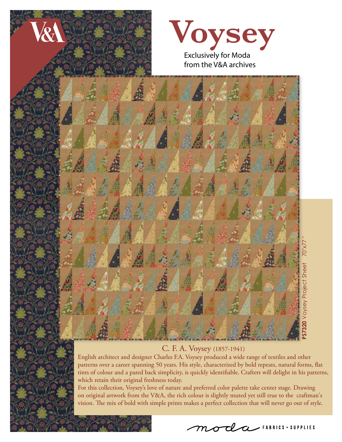

# C. F. A. Voysey (1857-1941)

English architect and designer Charles F.A. Voysey produced a wide range of textiles and other patterns over a career spanning 50 years. His style, characterized by bold repeats, natural forms, flat tints of colour and a pared back simplicity, is quickly identifiable. Crafters will delight in his patterns, which retain their original freshness today.

For this collection, Voysey's love of nature and preferred color palette take center stage. Drawing on original artwork from the V&A, the rich colour is slightly muted yet still true to the craftman's

mode FABRICS + SUPPLIES